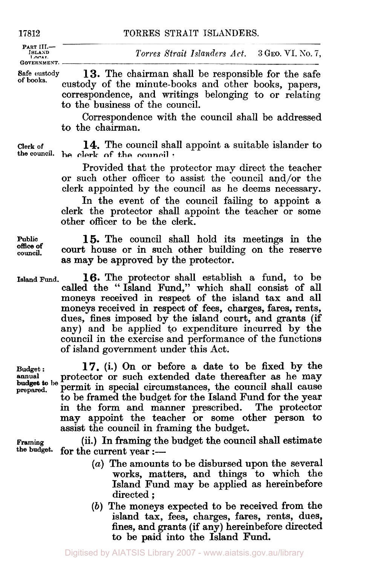**PART III.-**<br>**ISLAND**<br>LOCAL **GOVERNMENT.** 

 $Torres \; Strat \; Islands \; Act.$  **3 GEO. VI. No. 7,** 

**safe custody 13.** The chairman shall be responsible for the safe custody of the minute-books and other books, papers, correspondence, and writings belonging to **or** relating to the business of the council.

> Correspondence with the council shall be addressed to the chairman.

**Clerk of 14.** The council shall appoint a suitable islander to **the council.** be clerk of the council :

> Provided that the protector may direct the teacher or such other officer to assist the council and/or the clerk appointed by the council as he deems necessary.

> In the event of the council failing to appoint a clerk the protector shall appoint the teacher **or** some other officer to be the clerk.

**Public 15.** The council shall hold its meetings in the **council.** court house **or** in such other building on the reserve **as** may be approved by the protector.

**Island Fund. 16.** The protector shall establish a fund, to be called the "Island Fund," which shall consist of all moneys received in respect of the island tax and all moneys received in respect of fees, charges, fares, rents, dues, fines imposed by the island court, and grants (if any) and be applied to expenditure incurred by the council in the exercise and performance of the functions of island government under this Act.

**17.** (i.) On **or** before a date to be fixed by the protector **or** such extended date thereafter as he may permit in special circumstances, the council shall cause to be framed the budget for the Island Fund for the year in the form and manner prescribed. The protector may appoint the teacher **or** some other person to assist the council in framing the budget. **Budget** : **prepared. budget to be** 

**Framing** (ii.) In framing the budget the council shall estimate the budget. for the current year  $\cdot$ for the current year :-

- *(a)* The amounts to be disbursed upon the several works, matters, and things to which the Island Fund may be applied as hereinbefore directed ;
- *(b)* The moneys expected to be received from the island tax, fees, charges, fares, rents, dues, fines, and grants (if any) hereinbefore directed to be paid into the Island Fund.

**annual** 

**of books.** 

**office of**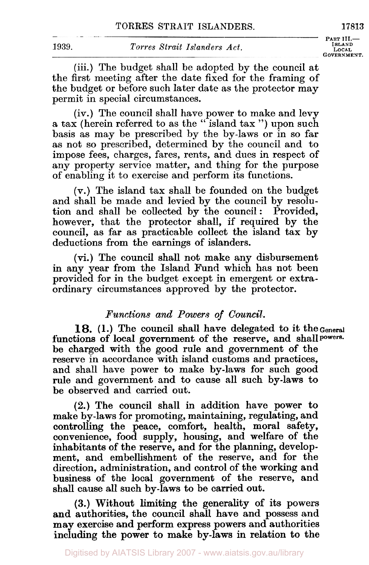**PART III.- GOVERNMENT.** 

(iii.) The budget shall be adopted by the council at the first meeting after the date fixed for the framing of the budget or before such later date as the protector may permit in special circumstances.

(iv.) The council shall have power to make and levy a tax (herein referred to as the " island tax ") upon such basis as may be prescribed by the by-laws or in so far as not so prescribed, determined by the council and to impose fees, charges, fares, rents, and dues in respect of any property service matter, and thing for the purpose of enabling it to exercise and perform its functions.

(V.) The island tax shall be founded on the budget and shall be made and levied by the council by resolution and shall be collected by the council: Provided, however, that the protector shall, if required by the council, as far as practicable collect the island tax by deductions from the earnings of islanders.

(vi.) The council shall not make any disbursement in any year from the Island Fund which has not been provided for in the budget except in emergent or extraordinary circumstances approved by the protector.

# *Functions and Powers of Council.*

18. **(1.)** The council shall have delegated to it the General functions of local government of the reserve, and shall powers. be charged with the good rule and government **of** the reserve in accordance with island customs and practices, and shall have power to make by-laws for such good rule and government and to cause all such by-laws to be observed and carried out.

**(2.)** The council shall in addition have power to make by-laws for promoting, maintaining, regulating, and controlling the peace, comfort, health, moral safety, convenience, food supply, housing, and welfare **of** the inhabitants of the reserve, and for the planning, development, and embellishment **of** the reserve, and **for** the direction, administration, and control of the working and business of the local government of the reserve, and shall cause all such by-laws to be carried out.

**(3.)** Without limiting the generality of its powers and authorities, the council shall have and possess and may exercise and perform express powers and authorities including the power to make by-laws in relation to the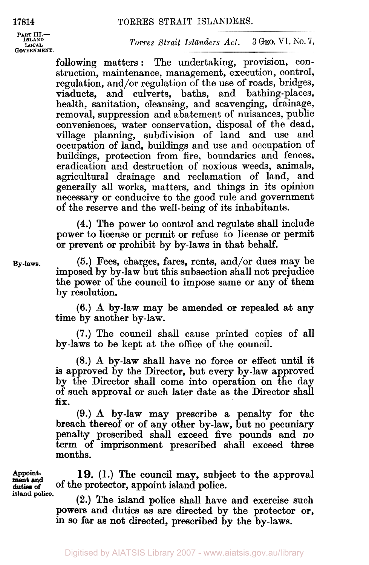PART III.-<br> **ISLAND** LOCAL<br>**GOVERNMENT.** 

**ISLAND LOCAL** *Torres Strait Islanders Act.* **3 GEO.** VI. No. 7,

following matters : The undertaking, provision, construction, maintenance, management, execution, control, regulation, and/or regulation of the use of roads, bridges, viaducts, and culverts, baths, and bathing-places, and culverts, baths, and health, sanitation, cleansing, and scavenging, drainage, removal, suppression and abatement of nuisances, public conveniences, water conservation, disposal of the dead, village planning, subdivision of land and use and occupation **of** land, buildings and use and occupation of buildings, protection from fire, boundaries and fences, eradication and destruction of noxious weeds, animals, agricultural drainage and reclamation of land, and generally all works, matters, and things in its opinion necessary **or** conducive to the good rule and government of the reserve and the well-being of its inhabitants.

**(4.)** The power to control and regulate shall include power to license or permit **or** refuse to license **or** permit **or** prevent **or** prohibit by by-laws in that behalf.

*(5.)* Fees, charges, fares, rents, and/or dues may be imposed by by-law but this subsection shall not prejudice the power **of** the council to impose same **or** any of them by resolution.

**(6.) A** by-law may be amended **or** repealed at any time by another by-law.

**(7.)** The council shall cause printed copies of all by-laws to be kept at the office of the council.

**(8.) A** by-law shall have no force **or** effect until it is approved by the Director, but every by-law approved by the Director shall come into operation on the day of such approval **or** such later date as the Director shall **fix.** 

(9.) **A** by-law may prescribe a penalty for the breach thereof **or of** any other by-law, but no pecuniary penalty prescribed shall exceed five pounds and no term **of** imprisonment prescribed shall exceed three months.

**19. (1.)** The council may, subject to the approval **Of** the protector, appoint island police.

**(2.)** The island police shall have and exercise such powers and duties as are directed by the protector **or, in** *so* far **as** not directed, prescribed by the by-laws.

Appointduties **of ment** and island **police.** 

**By-laws.**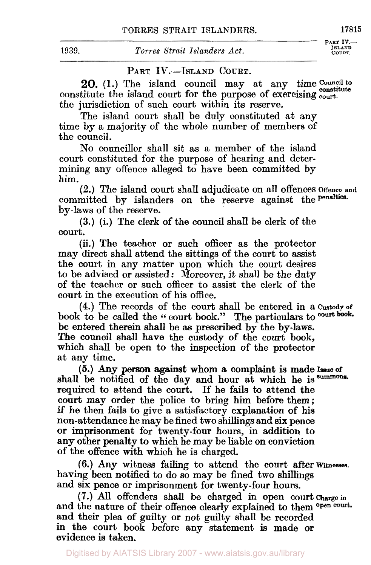## PART IV.-ISLAND COURT.

**Council to 20. (1.)** The island council may at any time **constitute** constitute the island court for the purpose **of** exercising **court.**  the jurisdiction **of** such court within its reserve.

The island court shall be duly constituted at any time by a majority of the whole number of members of the council.

**No** councillor shall sit as a member of the island court constituted **for** the purpose of hearing and determining any offence alleged to have been committed by him.

committed by islanders on the reserve against the **penalties**. by-laws **of** the reserve. **(2.)** The island court shall adjudicate on all offences **Offence and** 

**(3.)** (i.) The clerk of the council shall be clerk of the court.

(ii.) The teacher **or** such officer as the protector may direct shall attend the sittings of the court to assist the court in any matter upon which the court desires to be advised or assisted: Moreover, it shall be the duty of the teacher **or** such officer to assist the clerk of the court in the execution **of** his office.

book to be called the " court book." The particulars to court book. be entered therein shall be as prescribed by the by-laws. **The** council shall have the custody **of** the court book, which shall be open to the inspection of the protector at any time. **(4.)** The records **of** the court shall be entered in a **Custody of** 

shall be notified of the day and hour at which he **is summons**  required to attend the court. If he fails to attend the **court** may order the police to bring him before them; if he then fails to give a satisfactory explanation of his non-attendance he may be fined two shillings and six pence **or** imprisonment for twenty-four hours, in addition **to**  any other penalty **to** which he may be liable on conviction of the offence with which 'he is charged. *(5.)* Any person against whom a complaint is made **Issue of** 

having been notified to do so may be fined two shillings and **six** pence **or** imprisonment **for** twenty-four hours. **(6.) Any** witness failing to attend the court after witnesses.

and the nature of their offence clearly explained to them open court. and their plea **of** guilty or not guilty shall be recorded in the court book before any statement is made **or**  evidence is taken. **(7.)** *All* offenders shall be charged in open court Charge in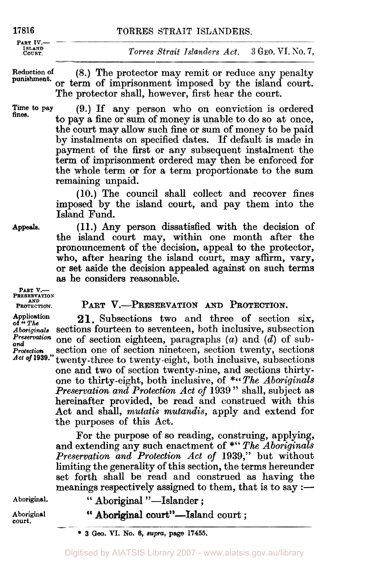**PART IV.- ISLAND** 

**COURT.** *Torres Strait Islanders Act.* **3 GEO.** VI. *So.* 7,

**Reduction of (8.)** The protector may remit or reduce any penalty or term of imprisonment imposed by the island court. The protector shall, however, first hear the court. **punishment.** 

**Time to pay fines.** 

**(9.)** If any person who on conviction is ordered to pay a fine or sum of money is unable to do so at once, the court may allow such fine **or** sum of money to be paid by instalments on specified dates. If default is made in payment of the first **or** any subsequent instalment the term of imprisonment ordered may then be enforced for the whole term **or** for a term proportionate to the sum remaining unpaid.

**(10.)** The council shall collect and recover fines imposed by the island court, and pay them into the Island Fund.

**Appeals.** 

**(11.)** Any person dissatisfied with the decision of the island court may, within one month after the pronouncement of the decision, appeal to the protector, **who,** after hearing the island court, may affirm, vary, **or** set aside the decision appealed against on such terms **as** he considers reasonable.

**PART V.-**  PRESERVATION **PROTECTION.** 

# PART V.-PRESERVATION AND PROTECTION.

Application **21.** Subsections two and three of section six, *Aboriginals* sections fourteen to seventeen, both inclusive, subsection<br>*Preservation* and of soction eighteen, parameters (a) and (d) of sub**and** *Preservation* one **of** section eighteen,. paragraphs *(a)* and *(d)* of sub-*Protection* section one of section nineteen, section twenty, sections *Act* of 1939." twenty-three to twenty-eight hoth inclusive subsections *twenty-three to twenty-eight, both inclusive, subsections* 

one and two of section twenty-nine, and sections thirtyone to thirty-eight, both inclusive, of \*"The Aboriginals" *Preservation and Protection Act* of **<sup>1939</sup>**" shall, subject as hereinafter provided, be read and construed with this Act and shall, *mutatis mutandis,* apply and extend for the purposes of this Act.

**For** the purpose of so reading, construing, applying, and extending any such enactment of \*" *The Aboriginals Preservation and Protection Act of* **1939,"** but without limiting the generality of this section, the terms hereunder set forth shall be read and construed as having the meanings respectively assigned to them, that is to say  $:$   $-$ 

Aboriginal. <br> **"Aboriginal "-Islander;** 

Aboriginal **Court** " Aboriginal court"—Island court ;

\* **3** *Geo.* **VI. No. 6,** *supra,* **page 17455.**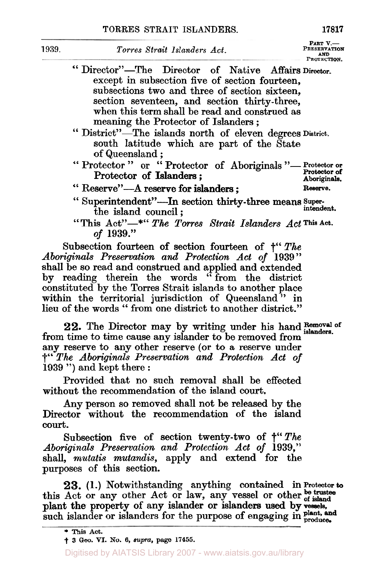**PART**  $V$ **.--PRESERVATION** *AND*  **PROTECTION.** 

- " Director"-The Director of Native Affairs **Director.**  except in subsection five of section fourteen, subsections two and three of section sixteen, section seventeen, and section thirty-three, when this term shall be read and construed as meaning the Protector of Islanders ;
- south latitude which are part of the State of Queensland ; " District"-The islands north of eleven degrees District.
- <sup>01</sup> Vueensland;<br>
"Protector " or "Protector of Aboriginals "- Protector or Protector of Islanders;<br>"Reserve"--A reserve for islanders; Protector or Protector of Aboriginals Protector of Islanders;<br>
Protector of Islanders;<br> **Aboriginals.** 
	-
- **Reserve.**
- <sup>"</sup> Superintendent"-In section thirty-three means super-<br>
intendent. the island council;
- "This Act"-\*" The Torres Strait Islanders Act This Act. *of* **1939."**

Subsection fourteen of section fourteen of †'' *The Aboriginals Preservation and Protection Act of* **1939** " shall be so read and construed and applied and extended by reading therein the words "from the district constituted by the Torres Strait islands to another place constituted by the Torres Strait islands to another place<br>within the territorial jurisdiction of Queensland " in within the territorial jurisdiction of Queensland" in lieu of the words " from one district to another district."

22. The Director may by writing under his hand **Removal** of from time to time cause any islander to be removed from any reserve to any other reserve (or **to** a reserve under †" *The Aboriginals Preservation and Protection Act of*  **<sup>1939</sup>**") and kept there : **islanders.** 

Provided that no such removal shall be effected without the recommendation of the island court.

Any person so removed shall not be released by the Director without the recommendation of the island **court.** 

Subsection five of section twenty-two of *†''The Aboriginals Preservation and Protection Act of* **1939,"**  shall, *mutatis mutandis,* apply and extend for the purposes of this section.

23. (1.) Notwithstanding anything contained in Protector **to**  $\Delta ct$  or any other  $\Delta ct$  or law any vessel or other be trustee **plant, and**  this Act or any other Act or law, any vessel or other **of island**  such islander or islanders for the purpose of engaging in **produce**. plant the property of any islander or islanders used by vessels,

<sup>\*</sup> This **Act.** 

<sup>†</sup> **3** *Geo.* **VI. No. 6,** *supra,* **page 17455.**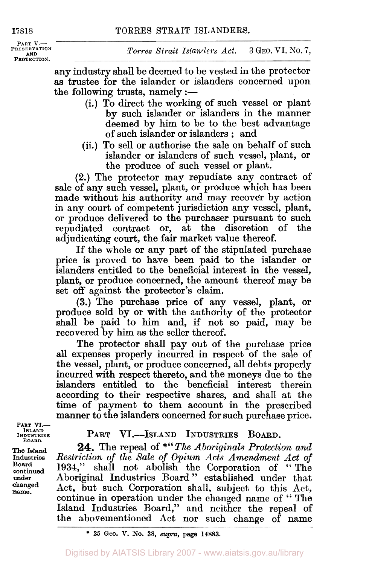**PART V.-**<br>**PRESERVATION AND PROTECTION.** 

any industry shall be deemed to be vested in the protector as trustee for the islander or islanders concerned upon the following trusts, namely  $:$   $-$ 

- (i.) To direct the working of such vessel or plant by such islander or islanders in the manner deemed by him to be to the best advantage of such islander or islanders ; and
- (ii.) **To** sell **or** authorise the sale on behalf of such islander or islanders of such vessel, plant, or the produce of such vessel or plant.

**(2.)** The protector may repudiate any contract of sale of any such vessel, plant, or produce which has been made without his authority and may recover by action in any court of competent jurisdiction any vessel, plant, or produce delivered to the purchaser pursuant to such repudiated contract or, at the discretion of the adjudicating court, the fair market value thereof.

If the whole **or** any part **of** the stipulated purchase price is proved to have been paid to the islander or islanders entitled to the beneficial interest in the vessel, plant, or produce concerned, the amount thereof may be set off against the protector's claim.

**(3.)** The purchase price of any vessel, plant, or produce sold by or with the authority of the protector shall be paid to him and, if not so paid, may be recovered by him as the seller thereof.

The protector shall pay out of the purchase price all expenses properly incurred in respect of the sale of the vessel, plant, or produce concerned, all debts properly incurred with respect thereto, and the moneys due to the islanders entitled to the beneficial interest therein according to their respective shares, and shall at the time of payment to them account in the prescribed manner to the islanders concerned for such purchase price.

**PART VI.- ISLAND INDUSTRIES BOARD.** 

**The Island Industries Board continued under changed name.** 

## PART VI.-ISLAND INDUSTRIES BOARD.

**24.** The repeal of *\*"The Aboriginals Protection and Restriction of the Sale of Opium Acts Amendment Act of*  **1934,"** shall not abolish the Corporation of " The Aboriginal Industries Board " established under that Act, but such Corporation shall, subject to this Act, continue in operation under the changed name of " The Island Industries Board," and neither the repeal of the abovementioned Act nor such change of name

<sup>\*</sup> **26** *Goo.* **V. No. 38,** supra, **page 14883.**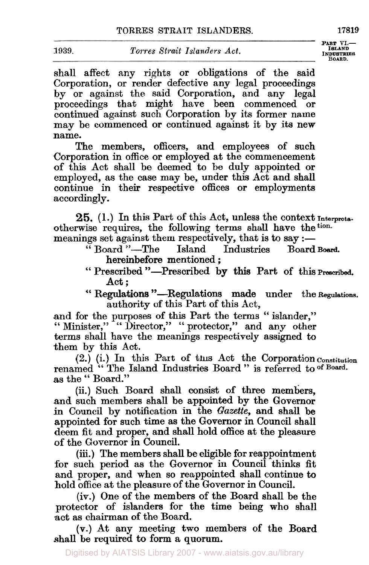shall affect any rights **or** obligations **of** the said Corporation, **or** render defective any legal proceedings by or against the said Corporation, and any legal proceedings that might have been commenced or proceedings that might have been commenced continued against such Corporation by its former name may be commenced **or** continued against it by its new name.

The members, officers, and employees of such Corporation in office or employed at the commencement of this Act shall be deemed to be duly appointed or employed, as the case may be, under this Act and shall continue in their respective offices **or** employments accordingly.

otherwise requires, the following terms shall have the tion. *25.* **(1.)** In this Part of this Act, unless the context Interprets-

otherwise requires, the following terms shall have the coll.<br>
meanings set against them respectively, that is to say :—<br>
"Board "-The Island Industries Board Board.<br>
have been meaninged "Board"-The Island Industries

- hereinbefore mentioned;<br>
"Prescribed "-Prescribed by this Part of this Prescribed. Act ;
- " Regulations "-Regulations made under the Regulations. authority of this Part **of** this Act,

and for the purposes of this Part the terms " islander," and for the purposes of this Part the terms "islander,"<br>"Minister," "Director," "protector," and any other terms shall have the meanings respectively assigned to them by this Act.

renamed " The Island Industries Board " is referred to **of Board. (2.)** (i.) In this Part of this Act the Corporation Constitution **as** the " Board."

(ii.) Such Board shall consist of three members, and such members shall be appointed by the Governor in Council by notification in the *Gazette,* and shall be appointed for such time as the Governor in Council shall deem fit and proper, and shall hold office at the pleasure of the Governor in Council.

(iii.) The members shall be eligible for reappointment for such period as the Governor in Council thinks fit and proper, and when *so* reappointed shall continue to hold office at the pleasure of the Governor in Council.

(iv.) One **of** the members of the Board shall be the protector of islanders for the time being who shall act as chairman of the Board.

(V.) At any meeting two members of the Board shall be required to form a quorum.

**PART VI.—<br>
<b>ISLAND**<br> **INDUSTRIES**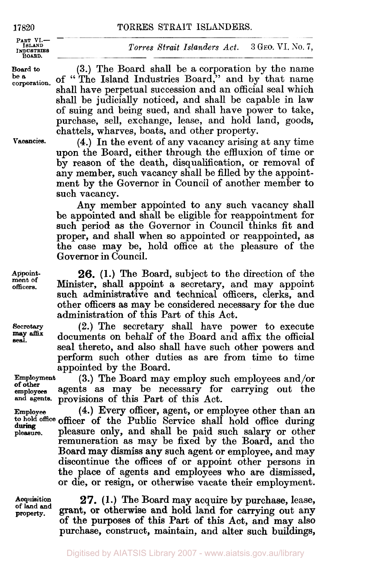**PART VI.---**<br> **ISLAND**<br> **INDUSTRIES BOARD.** 

Board to<br>be a

corporation.

*Torres Strait Islanders Act.*  **3 GEO. VI. No. 7,** 

**(3.)** The Board shall be a corporation by the name of "The Island Industries Board,'' and by that name shall have perpetual succession and an official seal which shall be judicially noticed, and shall be capable in law of suing and being sued, and shall have power to take, purchase, sell, exchange, lease, and hold land, goods, chattels, wharves, boats, and other property.

Vacancies.

**(4.)** In the event of any vacancy arising at any time upon the Board, either through the effluxion of time **or**  by reason of the death, disqualification, or removal **of**  any member, such vacancy shall be filled by the appointment by the Governor in Council of another member to such vacancy.

Any member appointed to any such vacancy shall be appointed and shall be eligible for reappointment for such period as the Governor in Council thinks fit and proper, and shall when so appointed **or** reappointed, as the case may be, hold office at the pleasure **of** the Governor in Council.

**26. (1.)** The Board, subject to the direction of the Minister, shall appoint a secretary, and may appoint such administrative and technical officers, clerks, and other officers as may be considered necessary **for** the due administration of this Part of this Act.

**(2.)** The secretary shall have power to execute documents on behalf **of** the Board and affix the official seal thereto, and also shall have such other powers and perform such other duties as are from time to time appointed by the Board.

**Employment (3.)** The Board may employ such employees and/or employees agents as may be necessary **for** carrying out the **and agents** provisions **of** this Part **of** this Act.

**Employee (4.)** Every officer, agent, **or** employee other than an to hold office officer **of** the Public Service shall hold office during **pleasure.** pleasure only, and shall be paid such salary **or** other remuneration as may be fixed by the Board, and the Board may dismiss any such agent **or** employee, and may discontinue the offices **of or** appoint other persons in the place **of** agents and employees who are dismissed, **or** die, **or** resign, **or** otherwise vacate their employment.

**Acquisition of** land **and Property.** 

*27.* **(1.)** The Board may acquire by purchase, lease, grant, **or** otherwise and hold land **for** carrying out any **of** the purposes **of** this Part **of** this Act, and may also purchase, construct, maintain, and alter such buildings,

**Appointment of officers.** 

**Secretary** *affix*  seal.

**of other** 

**during**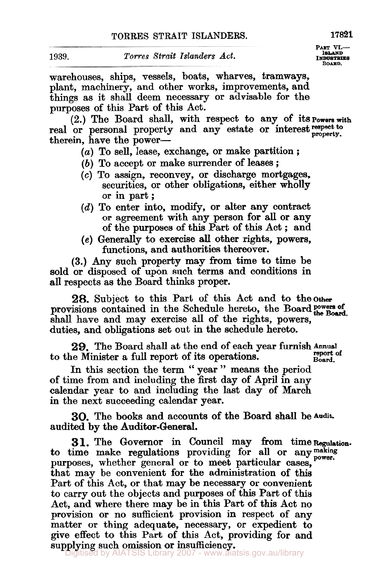**PART VI.---**<br> **ISLAND**<br> **INDUSTRIES BOARD.** 

warehouses, ships, vessels, boats, wharves, tramways, plant, machinery, and other works, improvements, and things as it shall deem necessary or advisable for the purposes of this Part of this Act.

real or personal property and any estate or interest respect to therein, have the power- (2.) The Board shall, with respect to any of its powers with

- (a) To sell, lease, exchange, or make partition ;
- (b) To accept or make surrender of leases ;
- *(c)* To assign, reconvey, or discharge mortgages, securities, or other obligations, either wholly<br>or in part ;<br>
- *(d)* To enter into, modify, or alter any contract or agreement with any person for all or any of the purposes of this Part of this Act ; and
- **(e)** Generally to exercise **all** other rights, powers, functions, and authorities thereover.

(3.) Any such property may **from** time to time be sold or disposed of upon such terms and conditions in all respects as the Board thinks proper.

**28.** Subject to this Part of this Act and to the other-<br>provisions contained in the Schedule hereto, the Board POWers of<br> $\frac{1}{2}$ shall have and may exercise all of the rights, powers, duties, and obligations set out in the schedule hereto.

**29.** The Board shall at the end of each year furnish **Annual**  to the Minister a full report of its operations.

In this section the term " year " means the period Board. of time from and including the first day of April in any calendar year to and including the last day of March in the next succeeding calendar year.

audited by the Auditor-General. **30.** The books and accounts of the Board shall be Audit.

to time make regulations providing for all or any making purposes, whether general or to meet particular cases, that may be convenient for the administration of this Part of this Act, or that may be necessary or convenient to carry out the objects and purposes of this Part of this Act, and where there may be in this Part of this Act no provision or no sufficient provision in respect of any matter or thing adequate, necessary, or expedient to give effect to this Part of this Act, providing for and supplying such omission or insufficiency. 31. The Governor in Council may from time Regulation.

itised by AIATSIS Library 2007 - www.aiatsis.gov.au/library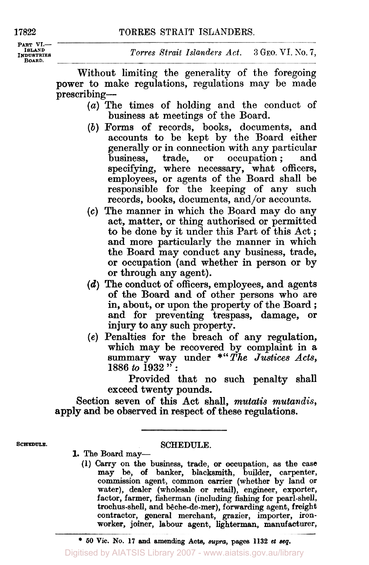**PART VI.- ISLAND INDUSTRIES BOARD.** 

*Torres Strait Islanders Act.* **3 GEO. VI.** *No.* 'i,

Without limiting the generality of the foregoing power to make regulations, regulations may be made prescribing-

- *(a)* The times of holding and the conduct of business at meetings of the Board.
- *(b)* Forms of records, books, documents, and accounts to be kept by the Board either generally or in connection with any particular<br>business, trade, or occupation ; and specifying, where necessary, what officers, employees, **or** agents of the Board shall be responsible **for** the keeping of any such records, books, documents, and/or accounts.
- **(c)** The manner in which the Board may do any act, matter, **or** thing authorised **or** permitted to be done by it under this Part of this Act ; and more particularly the manner in which the Board may conduct any business, trade, **or** occupation (and whether in person **or** by **or** through any agent).
- *(d)* The conduct **of** officers, employees, and agents **of** the Board and **of** other persons who are in, about, **or** upon the property of the Board ; and **for** preventing trespass, damage, **or**  injury to any such property.
- **(e)** Penalties **for** the breach **of** any regulation, which may be recovered by complaint in a summary way under *\*"The Justices Acts,*  **<sup>1886</sup>***to* **<sup>1932</sup>**" :

Provided that **no** such penalty shall exceed twenty pounds.

Section seven **of** this Act shall, *mutatis mutandis,*  **apply** and be observed in respect **of** these regulations.

#### **SCHEDULE. SCHEDULE.**

- **1. The Board may-** 
	- **(1)** Carry **on the business, trade, or occupation, as the case may be, of banker, blacksmith, builder, carpenter, commission agent, common carrier (whether by land or water), dealer (wholesale or retail), engineer, exporter, factor, farmer, fisherman (including fishing for pearl-shell, trochus-shell, and bêche-de-mer), forwarding agent, freight contractor, general merchant, grazier, importer, ironworker, joiner, labour agent, lighterman, manufacturer,**

Digitised by AIATSIS Library 2007 - www.aiatsis.gov.au/library

<sup>\*</sup> *50* **Vic. No. 17 and amending Acts,** *supra,* **pages 1132** *et* **seq.**